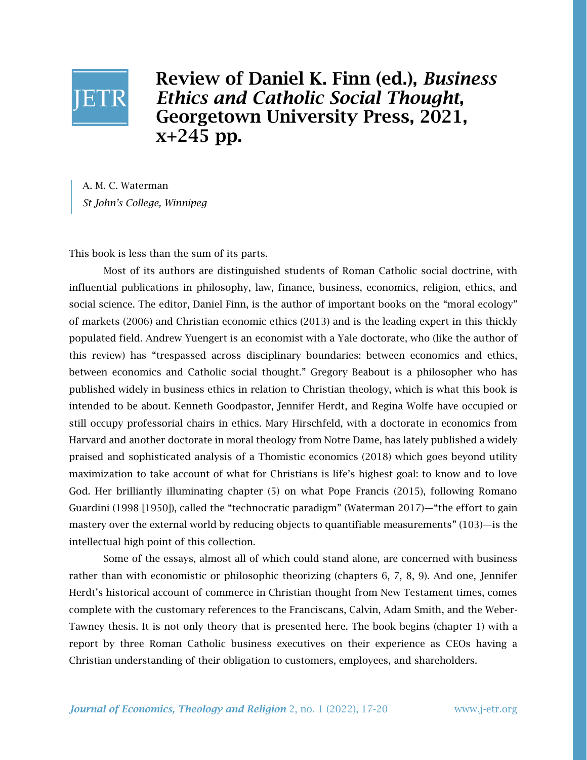

Review of Daniel K. Finn (ed.), *Business Ethics and Catholic Social Thought*, Georgetown University Press, 2021,  $x+245$  pp.

A. M. C. Waterman *St John's College, Winnipeg*

This book is less than the sum of its parts.

Most of its authors are distinguished students of Roman Catholic social doctrine, with influential publications in philosophy, law, finance, business, economics, religion, ethics, and social science. The editor, Daniel Finn, is the author of important books on the "moral ecology" of markets (2006) and Christian economic ethics (2013) and is the leading expert in this thickly populated field. Andrew Yuengert is an economist with a Yale doctorate, who (like the author of this review) has "trespassed across disciplinary boundaries: between economics and ethics, between economics and Catholic social thought." Gregory Beabout is a philosopher who has published widely in business ethics in relation to Christian theology, which is what this book is intended to be about. Kenneth Goodpastor, Jennifer Herdt, and Regina Wolfe have occupied or still occupy professorial chairs in ethics. Mary Hirschfeld, with a doctorate in economics from Harvard and another doctorate in moral theology from Notre Dame, has lately published a widely praised and sophisticated analysis of a Thomistic economics (2018) which goes beyond utility maximization to take account of what for Christians is life's highest goal: to know and to love God. Her brilliantly illuminating chapter (5) on what Pope Francis (2015), following Romano Guardini (1998 [1950]), called the "technocratic paradigm" (Waterman 2017)—"the effort to gain mastery over the external world by reducing objects to quantifiable measurements" (103)—is the intellectual high point of this collection.

Some of the essays, almost all of which could stand alone, are concerned with business rather than with economistic or philosophic theorizing (chapters 6, 7, 8, 9). And one, Jennifer Herdt's historical account of commerce in Christian thought from New Testament times, comes complete with the customary references to the Franciscans, Calvin, Adam Smith, and the Weber-Tawney thesis. It is not only theory that is presented here. The book begins (chapter 1) with a report by three Roman Catholic business executives on their experience as CEOs having a Christian understanding of their obligation to customers, employees, and shareholders.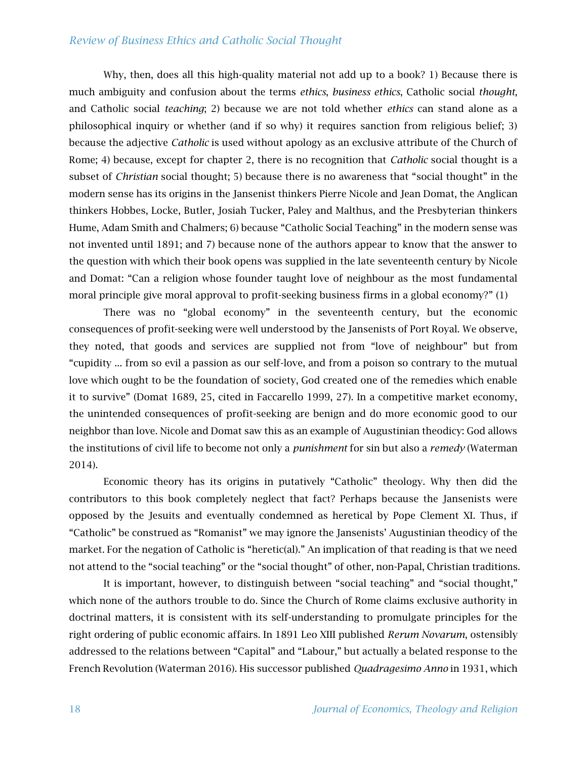## *Review of Business Ethics and Catholic Social Thought*

Why, then, does all this high-quality material not add up to a book? 1) Because there is much ambiguity and confusion about the terms *ethics*, *business ethics*, Catholic social *thought*, and Catholic social *teaching*; 2) because we are not told whether *ethics* can stand alone as a philosophical inquiry or whether (and if so why) it requires sanction from religious belief; 3) because the adjective *Catholic* is used without apology as an exclusive attribute of the Church of Rome; 4) because, except for chapter 2, there is no recognition that *Catholic* social thought is a subset of *Christian* social thought; 5) because there is no awareness that "social thought" in the modern sense has its origins in the Jansenist thinkers Pierre Nicole and Jean Domat, the Anglican thinkers Hobbes, Locke, Butler, Josiah Tucker, Paley and Malthus, and the Presbyterian thinkers Hume, Adam Smith and Chalmers; 6) because "Catholic Social Teaching" in the modern sense was not invented until 1891; and 7) because none of the authors appear to know that the answer to the question with which their book opens was supplied in the late seventeenth century by Nicole and Domat: "Can a religion whose founder taught love of neighbour as the most fundamental moral principle give moral approval to profit-seeking business firms in a global economy?" (1)

There was no "global economy" in the seventeenth century, but the economic consequences of profit-seeking were well understood by the Jansenists of Port Royal. We observe, they noted, that goods and services are supplied not from "love of neighbour" but from "cupidity ... from so evil a passion as our self-love, and from a poison so contrary to the mutual love which ought to be the foundation of society, God created one of the remedies which enable it to survive" (Domat 1689, 25, cited in Faccarello 1999, 27). In a competitive market economy, the unintended consequences of profit-seeking are benign and do more economic good to our neighbor than love. Nicole and Domat saw this as an example of Augustinian theodicy: God allows the institutions of civil life to become not only a *punishment* for sin but also a *remedy* (Waterman 2014).

Economic theory has its origins in putatively "Catholic" theology. Why then did the contributors to this book completely neglect that fact? Perhaps because the Jansenists were opposed by the Jesuits and eventually condemned as heretical by Pope Clement XI. Thus, if "Catholic" be construed as "Romanist" we may ignore the Jansenists' Augustinian theodicy of the market. For the negation of Catholic is "heretic(al)." An implication of that reading is that we need not attend to the "social teaching" or the "social thought" of other, non-Papal, Christian traditions.

It is important, however, to distinguish between "social teaching" and "social thought," which none of the authors trouble to do. Since the Church of Rome claims exclusive authority in doctrinal matters, it is consistent with its self-understanding to promulgate principles for the right ordering of public economic affairs. In 1891 Leo XIII published *Rerum Novarum*, ostensibly addressed to the relations between "Capital" and "Labour," but actually a belated response to the French Revolution (Waterman 2016). His successor published *Quadragesimo Anno* in 1931, which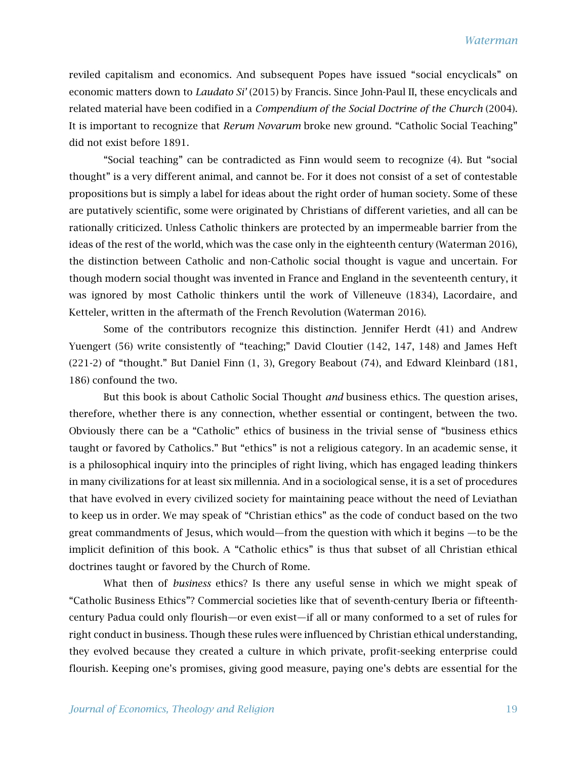reviled capitalism and economics. And subsequent Popes have issued "social encyclicals" on economic matters down to *Laudato Si'* (2015) by Francis. Since John-Paul II, these encyclicals and related material have been codified in a *Compendium of the Social Doctrine of the Church* (2004). It is important to recognize that *Rerum Novarum* broke new ground. "Catholic Social Teaching" did not exist before 1891.

"Social teaching" can be contradicted as Finn would seem to recognize (4). But "social thought" is a very different animal, and cannot be. For it does not consist of a set of contestable propositions but is simply a label for ideas about the right order of human society. Some of these are putatively scientific, some were originated by Christians of different varieties, and all can be rationally criticized. Unless Catholic thinkers are protected by an impermeable barrier from the ideas of the rest of the world, which was the case only in the eighteenth century (Waterman 2016), the distinction between Catholic and non-Catholic social thought is vague and uncertain. For though modern social thought was invented in France and England in the seventeenth century, it was ignored by most Catholic thinkers until the work of Villeneuve (1834), Lacordaire, and Ketteler, written in the aftermath of the French Revolution (Waterman 2016).

Some of the contributors recognize this distinction. Jennifer Herdt (41) and Andrew Yuengert (56) write consistently of "teaching;" David Cloutier (142, 147, 148) and James Heft (221-2) of "thought." But Daniel Finn (1, 3), Gregory Beabout (74), and Edward Kleinbard (181, 186) confound the two.

But this book is about Catholic Social Thought *and* business ethics. The question arises, therefore, whether there is any connection, whether essential or contingent, between the two. Obviously there can be a "Catholic" ethics of business in the trivial sense of "business ethics taught or favored by Catholics." But "ethics" is not a religious category. In an academic sense, it is a philosophical inquiry into the principles of right living, which has engaged leading thinkers in many civilizations for at least six millennia. And in a sociological sense, it is a set of procedures that have evolved in every civilized society for maintaining peace without the need of Leviathan to keep us in order. We may speak of "Christian ethics" as the code of conduct based on the two great commandments of Jesus, which would—from the question with which it begins —to be the implicit definition of this book. A "Catholic ethics" is thus that subset of all Christian ethical doctrines taught or favored by the Church of Rome.

What then of *business* ethics? Is there any useful sense in which we might speak of "Catholic Business Ethics"? Commercial societies like that of seventh-century Iberia or fifteenthcentury Padua could only flourish—or even exist—if all or many conformed to a set of rules for right conduct in business. Though these rules were influenced by Christian ethical understanding, they evolved because they created a culture in which private, profit-seeking enterprise could flourish. Keeping one's promises, giving good measure, paying one's debts are essential for the